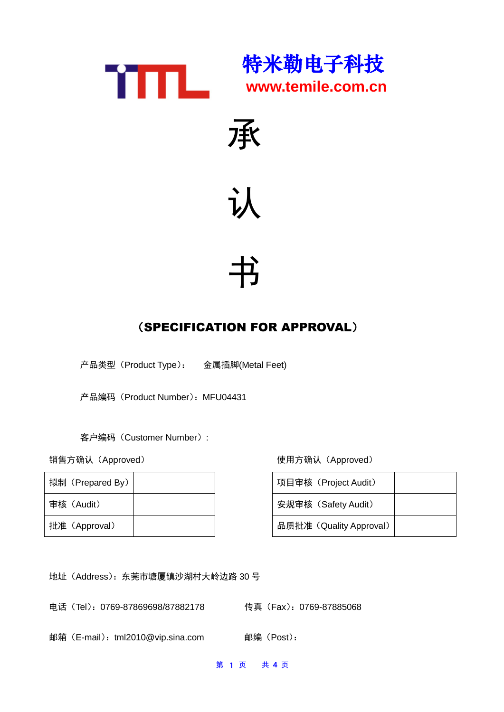



## 认

# 书

### (SPECIFICATION FOR APPROVAL)

产品类型(Product Type): 金属插脚(Metal Feet)

产品编码 (Product Number): MFU04431

客户编码(Customer Number):

| 拟制 (Prepared By) |  | 项目审核 (Project Audit)    |
|------------------|--|-------------------------|
| 审核(Audit)        |  | 安规审核 (Safety Audit)     |
| 批准 (Approval)    |  | 品质批准 (Quality Approval) |

销售方确认(Approved) 使用方确认(Approved)

| 项目审核 (Project Audit)    |  |
|-------------------------|--|
| 安规审核 (Safety Audit)     |  |
| 品质批准 (Quality Approval) |  |

地址(Address):东莞市塘厦镇沙湖村大岭边路 30 号

电话(Tel):0769-87869698/87882178 传真(Fax):0769-87885068

邮箱(E-mail): tml2010@vip.sina.com 邮编(Post):

第 1 页 共 **4** 页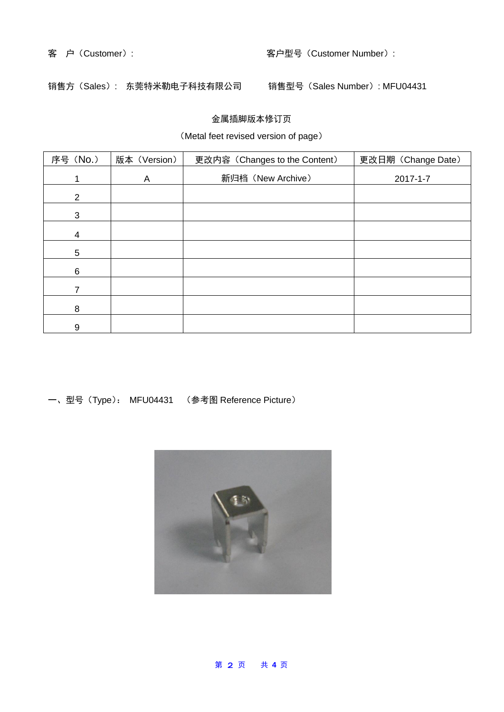#### 客 户(Customer): 客户型号(Customer Number):

销售方(Sales): 东莞特米勒电子科技有限公司 销售型号(Sales Number): MFU04431

#### 金属插脚版本修订页

#### (Metal feet revised version of page)

| 序号 (No.)        | 版本 (Version) | 更改内容 (Changes to the Content) | 更改日期 (Change Date) |  |
|-----------------|--------------|-------------------------------|--------------------|--|
|                 | A            | 新归档 (New Archive)             | $2017 - 1 - 7$     |  |
| 2               |              |                               |                    |  |
| 3               |              |                               |                    |  |
| $\overline{4}$  |              |                               |                    |  |
| $5\phantom{.0}$ |              |                               |                    |  |
| 6               |              |                               |                    |  |
|                 |              |                               |                    |  |
| 8               |              |                               |                    |  |
| 9               |              |                               |                    |  |

一、型号(Type): MFU04431 (参考图 Reference Picture)



#### 第 2 页 共 **4** 页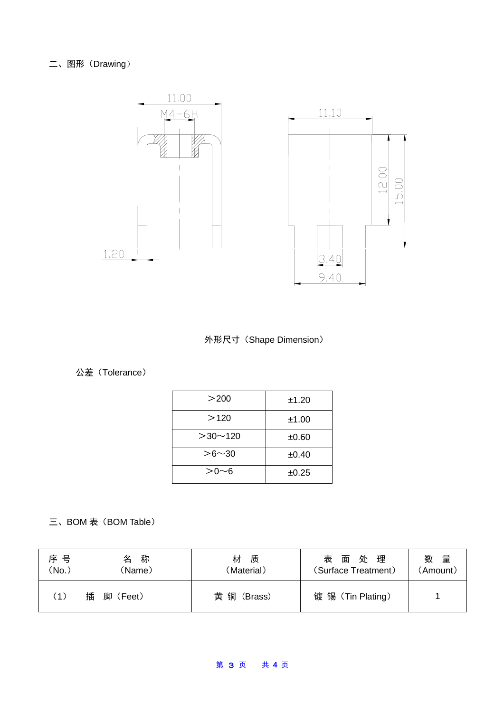#### 二、图形 (Drawing)



外形尺寸(Shape Dimension)

#### 公差(Tolerance)

| >200          | ±1.20 |
|---------------|-------|
| >120          | ±1.00 |
| $>30$ ~ 120   | ±0.60 |
| $> 6 \sim 30$ | ±0.40 |
| >0∼6          | ±0.25 |

### 三、BOM 表 (BOM Table)

| 序 号<br>'No. | 称<br>名<br>(Name) | 材<br>质<br>(Material) | 面处理<br>表<br>(Surface Treatment) | 数<br>量<br>(Amount) |
|-------------|------------------|----------------------|---------------------------------|--------------------|
| (1)         | 插<br>脚<br>(Feet) | 黄铜<br>(Brass)        | 镀锡 (Tin Plating)                |                    |

#### 第 3 页 共 **4** 页